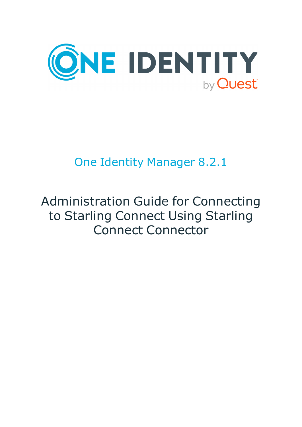

# One Identity Manager 8.2.1

# Administration Guide for Connecting to Starling Connect Using Starling Connect Connector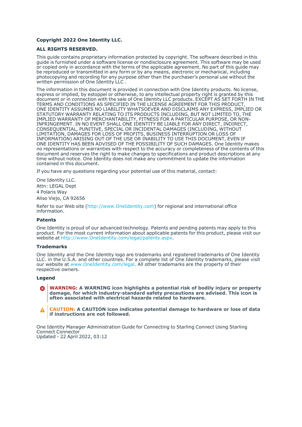#### **Copyright 2022 One Identity LLC.**

#### **ALL RIGHTS RESERVED.**

This guide contains proprietary information protected by copyright. The software described in this guide is furnished under a software license or nondisclosure agreement. This software may be used or copied only in accordance with the terms of the applicable agreement. No part of this guide may be reproduced or transmitted in any form or by any means, electronic or mechanical, including photocopying and recording for any purpose other than the purchaser's personal use without the written permission of One Identity LLC .

The information in this document is provided in connection with One Identity products. No license, express or implied, by estoppel or otherwise, to any intellectual property right is granted by this document or in connection with the sale of One Identity LLC products. EXCEPT AS SET FORTH IN THE TERMS AND CONDITIONS AS SPECIFIED IN THE LICENSE AGREEMENT FOR THIS PRODUCT, ONE IDENTITY ASSUMES NO LIABILITY WHATSOEVER AND DISCLAIMS ANY EXPRESS, IMPLIED OR STATUTORY WARRANTY RELATING TO ITS PRODUCTS INCLUDING, BUT NOT LIMITED TO, THE IMPLIED WARRANTY OF MERCHANTABILITY, FITNESS FOR A PARTICULAR PURPOSE, OR NON-INFRINGEMENT. IN NO EVENT SHALL ONE IDENTITY BE LIABLE FOR ANY DIRECT, INDIRECT, CONSEQUENTIAL, PUNITIVE, SPECIAL OR INCIDENTAL DAMAGES (INCLUDING, WITHOUT LIMITATION, DAMAGES FOR LOSS OF PROFITS, BUSINESS INTERRUPTION OR LOSS OF INFORMATION) ARISING OUT OF THE USE OR INABILITY TO USE THIS DOCUMENT, EVEN IF ONE IDENTITY HAS BEEN ADVISED OF THE POSSIBILITY OF SUCH DAMAGES. One Identity makes no representations or warranties with respect to the accuracy or completeness of the contents of this document and reserves the right to make changes to specifications and product descriptions at any time without notice. One Identity does not make any commitment to update the information contained in this document.

If you have any questions regarding your potential use of this material, contact:

One Identity LLC. Attn: LEGAL Dept 4 Polaris Way Aliso Viejo, CA 92656

Refer to our Web site [\(http://www.OneIdentity.com](http://www.oneidentity.com/)) for regional and international office information.

#### **Patents**

One Identity is proud of our advanced technology. Patents and pending patents may apply to this product. For the most current information about applicable patents for this product, please visit our website at [http://www.OneIdentity.com/legal/patents.aspx.](http://www.oneidentity.com/legal/patents.aspx)

#### **Trademarks**

One Identity and the One Identity logo are trademarks and registered trademarks of One Identity LLC. in the U.S.A. and other countries. For a complete list of One Identity trademarks, please visit our website at [www.OneIdentity.com/legal](http://www.oneidentity.com/legal). All other trademarks are the property of their respective owners.

#### **Legend**

**WARNING: A WARNING icon highlights a potential risk of bodily injury or property** œ **damage, for which industry-standard safety precautions are advised. This icon is often associated with electrical hazards related to hardware.**

**CAUTION: A CAUTION icon indicates potential damage to hardware or loss of data if instructions are not followed.**

One Identity Manager Administration Guide for Connecting to Starling Connect Using Starling Connect Connector Updated - 22 April 2022, 03:12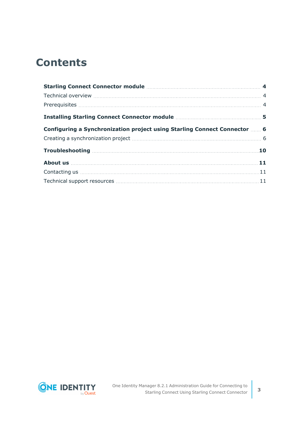## **Contents**

| Configuring a Synchronization project using Starling Connect Connector  6                                                                                                                                                            |  |
|--------------------------------------------------------------------------------------------------------------------------------------------------------------------------------------------------------------------------------------|--|
|                                                                                                                                                                                                                                      |  |
|                                                                                                                                                                                                                                      |  |
| About us <b>has a strategied as a strategied of the strategied and strategied and strategied and strategied and strategied and strategied and strategied and strategied and strategied and strategied and strategied and strateg</b> |  |
|                                                                                                                                                                                                                                      |  |
|                                                                                                                                                                                                                                      |  |

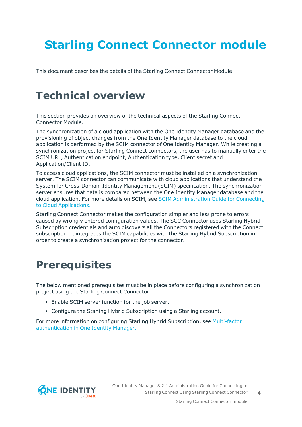# <span id="page-3-0"></span>**Starling Connect Connector module**

<span id="page-3-1"></span>This document describes the details of the Starling Connect Connector Module.

## **Technical overview**

This section provides an overview of the technical aspects of the Starling Connect Connector Module.

The synchronization of a cloud application with the One Identity Manager database and the provisioning of object changes from the One Identity Manager database to the cloud application is performed by the SCIM connector of One Identity Manager. While creating a synchronization project for Starling Connect connectors, the user has to manually enter the SCIM URL, Authentication endpoint, Authentication type, Client secret and Application/Client ID.

To access cloud applications, the SCIM connector must be installed on a synchronization server. The SCIM connector can communicate with cloud applications that understand the System for Cross-Domain Identity Management (SCIM) specification. The synchronization server ensures that data is compared between the One Identity Manager database and the cloud application. For more details on SCIM, see SCIM [Administration](https://support.oneidentity.com/technical-documents/identity-manager/8.0/administration-guide-for-connecting-to-cloud-applications/2) Guide for Connecting to Cloud [Applications.](https://support.oneidentity.com/technical-documents/identity-manager/8.0/administration-guide-for-connecting-to-cloud-applications/2)

Starling Connect Connector makes the configuration simpler and less prone to errors caused by wrongly entered configuration values. The SCC Connector uses Starling Hybrid Subscription credentials and auto discovers all the Connectors registered with the Connect subscription. It integrates the SCIM capabilities with the Starling Hybrid Subscription in order to create a synchronization project for the connector.

## <span id="page-3-2"></span>**Prerequisites**

The below mentioned prerequisites must be in place before configuring a synchronization project using the Starling Connect Connector.

- Enable SCIM server function for the job server.
- Configure the Starling Hybrid Subscription using a Starling account.

For more information on configuring Starling Hybrid Subscription, see [Multi-factor](https://support.oneidentity.com/technical-documents/identity-manager/8.1.1/authorization-and-authentication-guide/27#TOPIC-1250111) [authentication](https://support.oneidentity.com/technical-documents/identity-manager/8.1.1/authorization-and-authentication-guide/27#TOPIC-1250111) in One Identity Manager.



One Identity Manager 8.2.1 Administration Guide for Connecting to Starling Connect Using Starling Connect Connector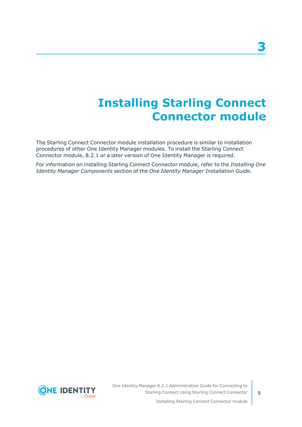# **Installing Starling Connect Connector module**

<span id="page-4-0"></span>The Starling Connect Connector module installation procedure is similar to installation procedures of other One Identity Manager modules. To install the Starling Connect Connector module, 8.2.1 or a later version of One Identity Manager is required.

For information on installing Starling Connect Connector module, refer to the *Installing One Identity Manager Components* section of the *One Identity Manager Installation Guide*.



One Identity Manager 8.2.1 Administration Guide for Connecting to Starling Connect Using Starling Connect Connector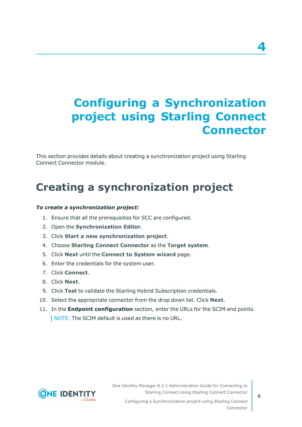# <span id="page-5-0"></span>**Configuring a Synchronization project using Starling Connect Connector**

This section provides details about creating a synchronization project using Starling Connect Connector module.

## <span id="page-5-1"></span>**Creating a synchronization project**

### *To create a synchronization project:*

- 1. Ensure that all the prerequisites for SCC are configured.
- 2. Open the **Synchronization Editor**.
- 3. Click **Start a new synchronization project**.
- 4. Choose **Starling Connect Connector** as the **Target system**.
- 5. Click **Next** until the **Connect to System wizard** page.
- 6. Enter the credentials for the system user.
- 7. Click **Connect**.
- 8. Click **Next**.
- 9. Click **Test** to validate the Starling Hybrid Subscription credentials.
- 10. Select the appropriate connector from the drop down list. Click **Next**.
- 11. In the **Endpoint configuration** section, enter the URLs for the SCIM end points. NOTE: The SCIM default is used as there is no URL.

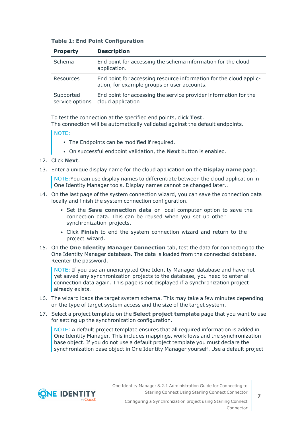|  |  |  |  |  | <b>Table 1: End Point Configuration</b> |
|--|--|--|--|--|-----------------------------------------|
|--|--|--|--|--|-----------------------------------------|

| <b>Property</b>              | <b>Description</b>                                                                                                |
|------------------------------|-------------------------------------------------------------------------------------------------------------------|
| Schema                       | End point for accessing the schema information for the cloud<br>application.                                      |
| Resources                    | End point for accessing resource information for the cloud applic-<br>ation, for example groups or user accounts. |
| Supported<br>service options | End point for accessing the service provider information for the<br>cloud application                             |

To test the connection at the specified end points, click **Test**.

The connection will be automatically validated against the default endpoints.

NOTE:

- The Endpoints can be modified if required.
- **On successful endpoint validation, the Next button is enabled.**
- 12. Click **Next**.
- 13. Enter a unique display name for the cloud application on the **Display name** page.

NOTE:You can use display names to differentiate between the cloud application in One Identity Manager tools. Display names cannot be changed later..

- 14. On the last page of the system connection wizard, you can save the connection data locally and finish the system connection configuration.
	- <sup>l</sup> Set the **Save connection data** on local computer option to save the connection data. This can be reused when you set up other synchronization projects.
	- <sup>l</sup> Click **Finish** to end the system connection wizard and return to the project wizard.
- 15. On the **One Identity Manager Connection** tab, test the data for connecting to the One Identity Manager database. The data is loaded from the connected database. Reenter the password.

NOTE: If you use an unencrypted One Identity Manager database and have not yet saved any synchronization projects to the database, you need to enter all connection data again. This page is not displayed if a synchronization project already exists.

- 16. The wizard loads the target system schema. This may take a few minutes depending on the type of target system access and the size of the target system.
- 17. Select a project template on the **Select project template** page that you want to use for setting up the synchronization configuration.

NOTE: A default project template ensures that all required information is added in One Identity Manager. This includes mappings, workflows and the synchronization base object. If you do not use a default project template you must declare the synchronization base object in One Identity Manager yourself. Use a default project



One Identity Manager 8.2.1 Administration Guide for Connecting to Starling Connect Using Starling Connect Connector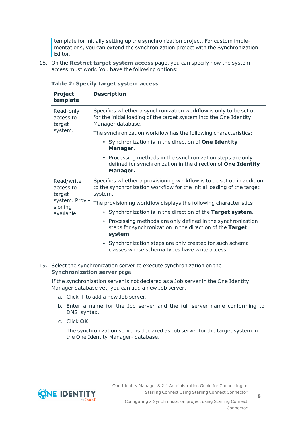template for initially setting up the synchronization project. For custom implementations, you can extend the synchronization project with the Synchronization Editor.

18. On the **Restrict target system access** page, you can specify how the system access must work. You have the following options:

| <b>Project</b><br>template                                                   | <b>Description</b>                                                                                                                                           |  |  |  |  |
|------------------------------------------------------------------------------|--------------------------------------------------------------------------------------------------------------------------------------------------------------|--|--|--|--|
| Read-only<br>access to<br>target<br>system.                                  | Specifies whether a synchronization workflow is only to be set up<br>for the initial loading of the target system into the One Identity<br>Manager database. |  |  |  |  |
|                                                                              | The synchronization workflow has the following characteristics:                                                                                              |  |  |  |  |
|                                                                              | • Synchronization is in the direction of <b>One Identity</b><br>Manager.                                                                                     |  |  |  |  |
|                                                                              | Processing methods in the synchronization steps are only<br>$\bullet$<br>defined for synchronization in the direction of One Identity<br>Manager.            |  |  |  |  |
| Read/write<br>access to<br>target<br>system. Provi-<br>sioning<br>available. | Specifies whether a provisioning workflow is to be set up in addition<br>to the synchronization workflow for the initial loading of the target<br>system.    |  |  |  |  |
|                                                                              | The provisioning workflow displays the following characteristics:                                                                                            |  |  |  |  |
|                                                                              | • Synchronization is in the direction of the Target system.                                                                                                  |  |  |  |  |
|                                                                              | • Processing methods are only defined in the synchronization<br>steps for synchronization in the direction of the Target<br>system.                          |  |  |  |  |
|                                                                              | • Synchronization steps are only created for such schema<br>classes whose schema types have write access.                                                    |  |  |  |  |

### **Table 2: Specify target system access**

19. Select the synchronization server to execute synchronization on the **Synchronization server** page.

If the synchronization server is not declared as a Job server in the One Identity Manager database yet, you can add a new Job server.

- a. Click **+** to add a new Job server.
- b. Enter a name for the Job server and the full server name conforming to DNS syntax.
- c. Click **OK**.

The synchronization server is declared as Job server for the target system in the One Identity Manager- database.

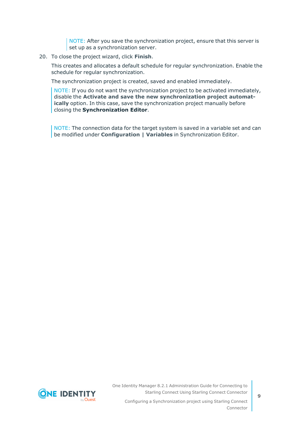NOTE: After you save the synchronization project, ensure that this server is set up as a synchronization server.

#### 20. To close the project wizard, click **Finish**.

This creates and allocates a default schedule for regular synchronization. Enable the schedule for regular synchronization.

The synchronization project is created, saved and enabled immediately.

NOTE: If you do not want the synchronization project to be activated immediately, disable the **Activate and save the new synchronization project automatically** option. In this case, save the synchronization project manually before closing the **Synchronization Editor**.

NOTE: The connection data for the target system is saved in a variable set and can be modified under **Configuration | Variables** in Synchronization Editor.



One Identity Manager 8.2.1 Administration Guide for Connecting to Starling Connect Using Starling Connect Connector

Configuring a Synchronization project using Starling Connect Connector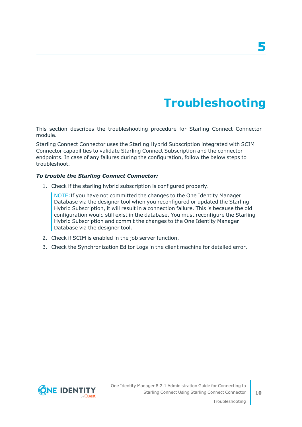# **Troubleshooting**

<span id="page-9-0"></span>This section describes the troubleshooting procedure for Starling Connect Connector module.

Starling Connect Connector uses the Starling Hybrid Subscription integrated with SCIM Connector capabilities to validate Starling Connect Subscription and the connector endpoints. In case of any failures during the configuration, follow the below steps to troubleshoot.

### *To trouble the Starling Connect Connector:*

1. Check if the starling hybrid subscription is configured properly.

NOTE:If you have not committed the changes to the One Identity Manager Database via the designer tool when you reconfigured or updated the Starling Hybrid Subscription, it will result in a connection failure. This is because the old configuration would still exist in the database. You must reconfigure the Starling Hybrid Subscription and commit the changes to the One Identity Manager Database via the designer tool.

- 2. Check if SCIM is enabled in the job server function.
- 3. Check the Synchronization Editor Logs in the client machine for detailed error.